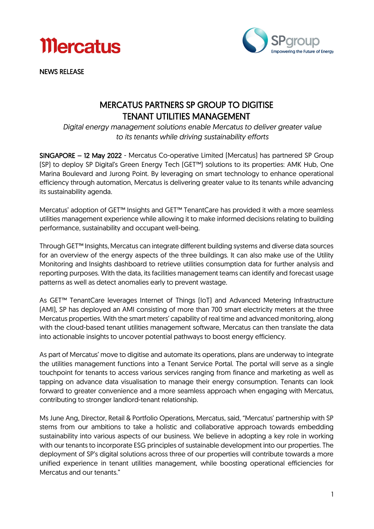



NEWS RELEASE

### MERCATUS PARTNERS SP GROUP TO DIGITISE TENANT UTILITIES MANAGEMENT

*Digital energy management solutions enable Mercatus to deliver greater value to its tenants while driving sustainability efforts*

SINGAPORE – 12 May 2022 - Mercatus Co-operative Limited (Mercatus) has partnered SP Group (SP) to deploy SP Digital's Green Energy Tech (GET™) solutions to its properties: AMK Hub, One Marina Boulevard and Jurong Point. By leveraging on smart technology to enhance operational efficiency through automation, Mercatus is delivering greater value to its tenants while advancing its sustainability agenda.

Mercatus' adoption of GET™ Insights and GET™ TenantCare has provided it with a more seamless utilities management experience while allowing it to make informed decisions relating to building performance, sustainability and occupant well-being.

Through GET™ Insights, Mercatus can integrate different building systems and diverse data sources for an overview of the energy aspects of the three buildings. It can also make use of the Utility Monitoring and Insights dashboard to retrieve utilities consumption data for further analysis and reporting purposes. With the data, its facilities management teams can identify and forecast usage patterns as well as detect anomalies early to prevent wastage.

As GET™ TenantCare leverages Internet of Things (IoT) and Advanced Metering Infrastructure (AMI), SP has deployed an AMI consisting of more than 700 smart electricity meters at the three Mercatus properties. With the smart meters' capability of real time and advanced monitoring, along with the cloud-based tenant utilities management software, Mercatus can then translate the data into actionable insights to uncover potential pathways to boost energy efficiency.

As part of Mercatus' move to digitise and automate its operations, plans are underway to integrate the utilities management functions into a Tenant Service Portal. The portal will serve as a single touchpoint for tenants to access various services ranging from finance and marketing as well as tapping on advance data visualisation to manage their energy consumption. Tenants can look forward to greater convenience and a more seamless approach when engaging with Mercatus, contributing to stronger landlord-tenant relationship.

Ms June Ang, Director, Retail & Portfolio Operations, Mercatus, said, "Mercatus' partnership with SP stems from our ambitions to take a holistic and collaborative approach towards embedding sustainability into various aspects of our business. We believe in adopting a key role in working with our tenants to incorporate ESG principles of sustainable development into our properties. The deployment of SP's digital solutions across three of our properties will contribute towards a more unified experience in tenant utilities management, while boosting operational efficiencies for Mercatus and our tenants."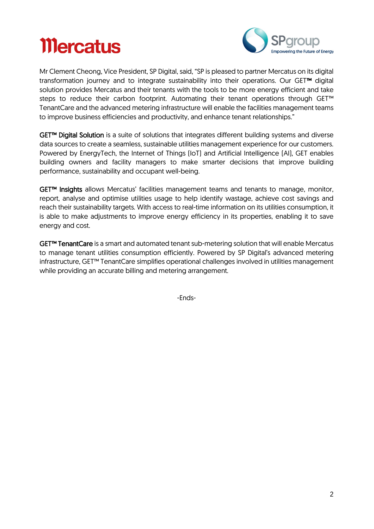# **Mercatus**



Mr Clement Cheong, Vice President, SP Digital, said, "SP is pleased to partner Mercatus on its digital transformation journey and to integrate sustainability into their operations. Our GET™ digital solution provides Mercatus and their tenants with the tools to be more energy efficient and take steps to reduce their carbon footprint. Automating their tenant operations through GET<sup>™</sup> TenantCare and the advanced metering infrastructure will enable the facilities management teams to improve business efficiencies and productivity, and enhance tenant relationships."

GET™ Digital Solution is a suite of solutions that integrates different building systems and diverse data sources to create a seamless, sustainable utilities management experience for our customers. Powered by EnergyTech, the Internet of Things (IoT) and Artificial Intelligence (AI), GET enables building owners and facility managers to make smarter decisions that improve building performance, sustainability and occupant well-being.

GET™ Insights allows Mercatus' facilities management teams and tenants to manage, monitor, report, analyse and optimise utilities usage to help identify wastage, achieve cost savings and reach their sustainability targets. With access to real-time information on its utilities consumption, it is able to make adjustments to improve energy efficiency in its properties, enabling it to save energy and cost.

GET™ TenantCare is a smart and automated tenant sub-metering solution that will enable Mercatus to manage tenant utilities consumption efficiently. Powered by SP Digital's advanced metering infrastructure, GET™ TenantCare simplifies operational challenges involved in utilities management while providing an accurate billing and metering arrangement.

-Ends-